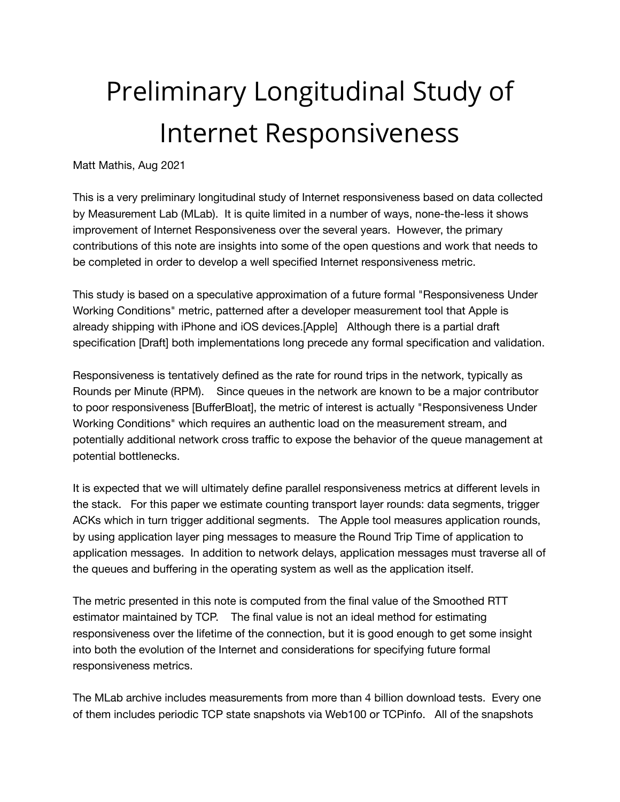# Preliminary Longitudinal Study of Internet Responsiveness

Matt Mathis, Aug 2021

This is a very preliminary longitudinal study of Internet responsiveness based on data collected by Measurement Lab (MLab). It is quite limited in a number of ways, none-the-less it shows improvement of Internet Responsiveness over the several years. However, the primary contributions of this note are insights into some of the open questions and work that needs to be completed in order to develop a well specified Internet responsiveness metric.

This study is based on a speculative approximation of a future formal "Responsiveness Under Working Conditions" metric, patterned after a developer measurement tool that Apple is already shipping with iPhone and iOS devices.[Apple] Although there is a partial draft specification [Draft] both implementations long precede any formal specification and validation.

Responsiveness is tentatively defined as the rate for round trips in the network, typically as Rounds per Minute (RPM). Since queues in the network are known to be a major contributor to poor responsiveness [BufferBloat], the metric of interest is actually "Responsiveness Under Working Conditions" which requires an authentic load on the measurement stream, and potentially additional network cross traffic to expose the behavior of the queue management at potential bottlenecks.

It is expected that we will ultimately define parallel responsiveness metrics at different levels in the stack. For this paper we estimate counting transport layer rounds: data segments, trigger ACKs which in turn trigger additional segments. The Apple tool measures application rounds, by using application layer ping messages to measure the Round Trip Time of application to application messages. In addition to network delays, application messages must traverse all of the queues and buffering in the operating system as well as the application itself.

The metric presented in this note is computed from the final value of the Smoothed RTT estimator maintained by TCP. The final value is not an ideal method for estimating responsiveness over the lifetime of the connection, but it is good enough to get some insight into both the evolution of the Internet and considerations for specifying future formal responsiveness metrics.

The MLab archive includes measurements from more than 4 billion download tests. Every one of them includes periodic TCP state snapshots via Web100 or TCPinfo. All of the snapshots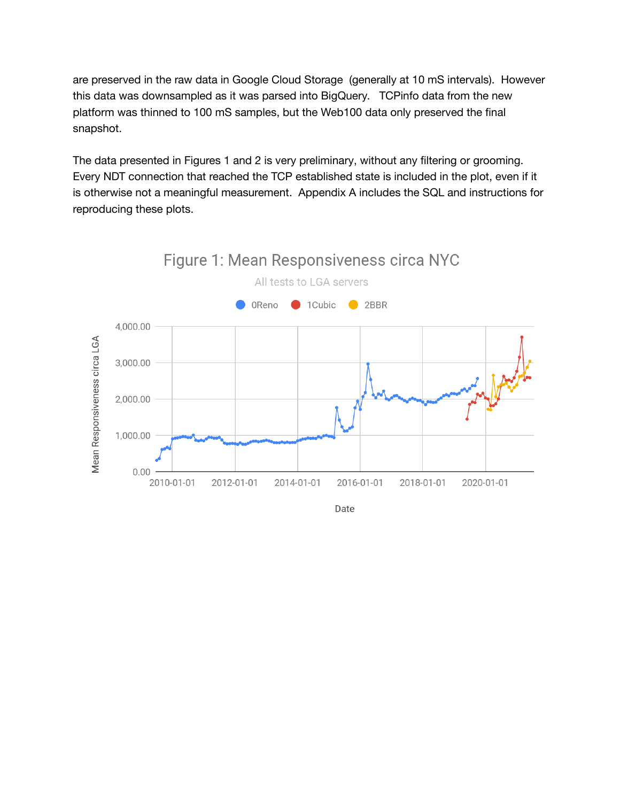are preserved in the raw data in Google Cloud Storage (generally at 10 mS intervals). However this data was downsampled as it was parsed into BigQuery. TCPinfo data from the new platform was thinned to 100 mS samples, but the Web100 data only preserved the final snapshot.

The data presented in Figures 1 and 2 is very preliminary, without any filtering or grooming. Every NDT connection that reached the TCP established state is included in the plot, even if it is otherwise not a meaningful measurement. Appendix A includes the SQL and instructions for reproducing these plots.

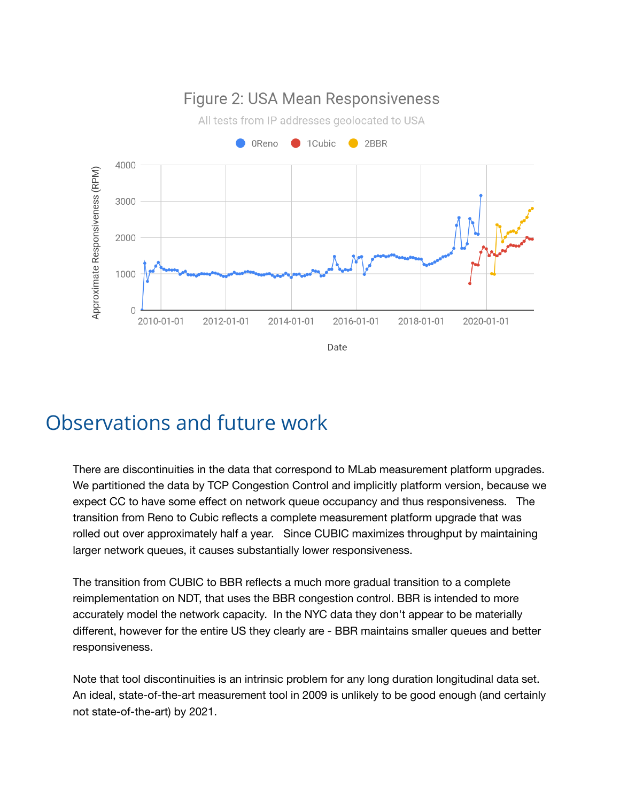

### Observations and future work

There are discontinuities in the data that correspond to MLab measurement platform upgrades. We partitioned the data by TCP Congestion Control and implicitly platform version, because we expect CC to have some effect on network queue occupancy and thus responsiveness. The transition from Reno to Cubic reflects a complete measurement platform upgrade that was rolled out over approximately half a year. Since CUBIC maximizes throughput by maintaining larger network queues, it causes substantially lower responsiveness.

The transition from CUBIC to BBR reflects a much more gradual transition to a complete reimplementation on NDT, that uses the BBR congestion control. BBR is intended to more accurately model the network capacity. In the NYC data they don't appear to be materially different, however for the entire US they clearly are - BBR maintains smaller queues and better responsiveness.

Note that tool discontinuities is an intrinsic problem for any long duration longitudinal data set. An ideal, state-of-the-art measurement tool in 2009 is unlikely to be good enough (and certainly not state-of-the-art) by 2021.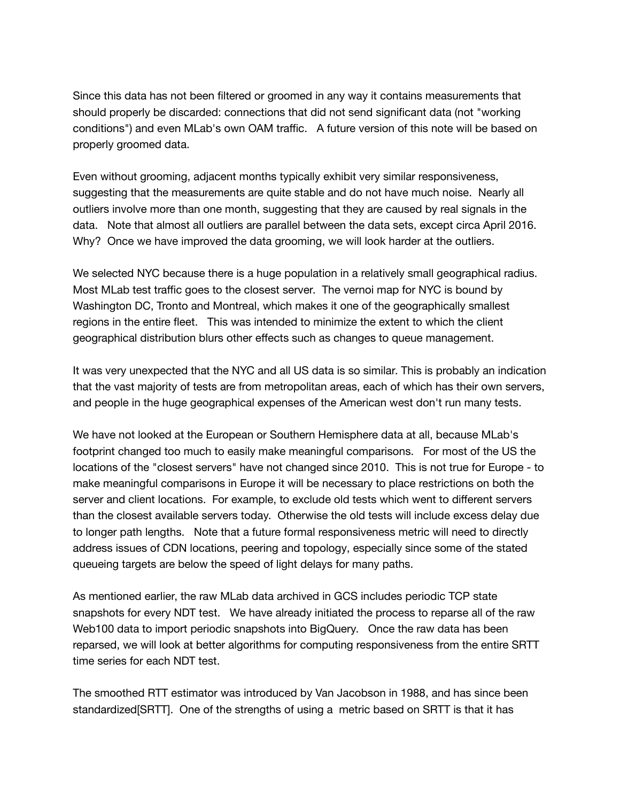Since this data has not been filtered or groomed in any way it contains measurements that should properly be discarded: connections that did not send significant data (not "working conditions") and even MLab's own OAM traffic. A future version of this note will be based on properly groomed data.

Even without grooming, adjacent months typically exhibit very similar responsiveness, suggesting that the measurements are quite stable and do not have much noise. Nearly all outliers involve more than one month, suggesting that they are caused by real signals in the data. Note that almost all outliers are parallel between the data sets, except circa April 2016. Why? Once we have improved the data grooming, we will look harder at the outliers.

We selected NYC because there is a huge population in a relatively small geographical radius. Most MLab test traffic goes to the closest server. The vernoi map for NYC is bound by Washington DC, Tronto and Montreal, which makes it one of the geographically smallest regions in the entire fleet. This was intended to minimize the extent to which the client geographical distribution blurs other effects such as changes to queue management.

It was very unexpected that the NYC and all US data is so similar. This is probably an indication that the vast majority of tests are from metropolitan areas, each of which has their own servers, and people in the huge geographical expenses of the American west don't run many tests.

We have not looked at the European or Southern Hemisphere data at all, because MLab's footprint changed too much to easily make meaningful comparisons. For most of the US the locations of the "closest servers" have not changed since 2010. This is not true for Europe - to make meaningful comparisons in Europe it will be necessary to place restrictions on both the server and client locations. For example, to exclude old tests which went to different servers than the closest available servers today. Otherwise the old tests will include excess delay due to longer path lengths. Note that a future formal responsiveness metric will need to directly address issues of CDN locations, peering and topology, especially since some of the stated queueing targets are below the speed of light delays for many paths.

As mentioned earlier, the raw MLab data archived in GCS includes periodic TCP state snapshots for every NDT test. We have already initiated the process to reparse all of the raw Web100 data to import periodic snapshots into BigQuery. Once the raw data has been reparsed, we will look at better algorithms for computing responsiveness from the entire SRTT time series for each NDT test.

The smoothed RTT estimator was introduced by Van Jacobson in 1988, and has since been standardized[SRTT]. One of the strengths of using a metric based on SRTT is that it has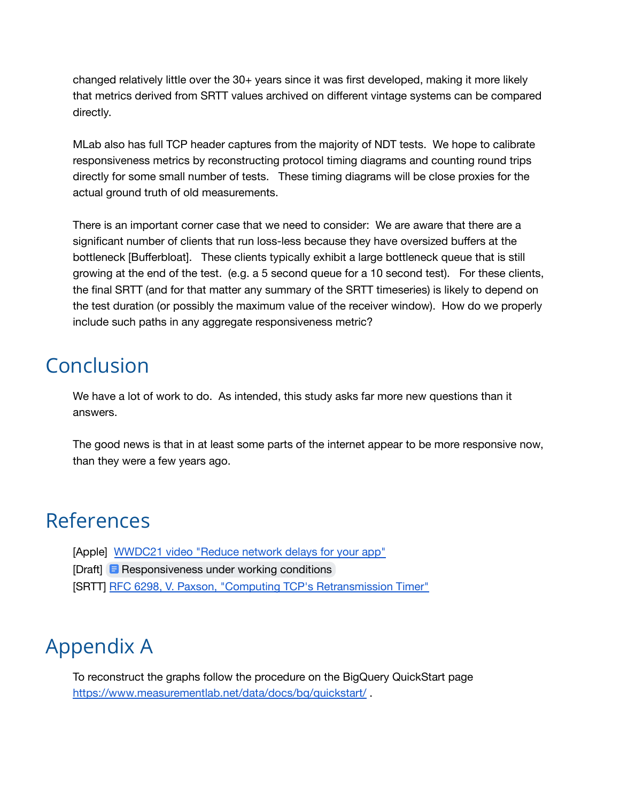changed relatively little over the 30+ years since it was first developed, making it more likely that metrics derived from SRTT values archived on different vintage systems can be compared directly.

MLab also has full TCP header captures from the majority of NDT tests. We hope to calibrate responsiveness metrics by reconstructing protocol timing diagrams and counting round trips directly for some small number of tests. These timing diagrams will be close proxies for the actual ground truth of old measurements.

There is an important corner case that we need to consider: We are aware that there are a significant number of clients that run loss-less because they have oversized buffers at the bottleneck [Bufferbloat]. These clients typically exhibit a large bottleneck queue that is still growing at the end of the test. (e.g. a 5 second queue for a 10 second test). For these clients, the final SRTT (and for that matter any summary of the SRTT timeseries) is likely to depend on the test duration (or possibly the maximum value of the receiver window). How do we properly include such paths in any aggregate responsiveness metric?

#### Conclusion

We have a lot of work to do. As intended, this study asks far more new questions than it answers.

The good news is that in at least some parts of the internet appear to be more responsive now, than they were a few years ago.

### References

[Apple] WWDC21 video "Reduce network delays for your app"

[Draft] Responsiveness under working conditions

[SRTT] RFC 6298, V. Paxson, "Computing TCP's Retransmission Timer"

## Appendix A

To reconstruct the graphs follow the procedure on the BigQuery QuickStart page https://www.measurementlab.net/data/docs/bq/quickstart/.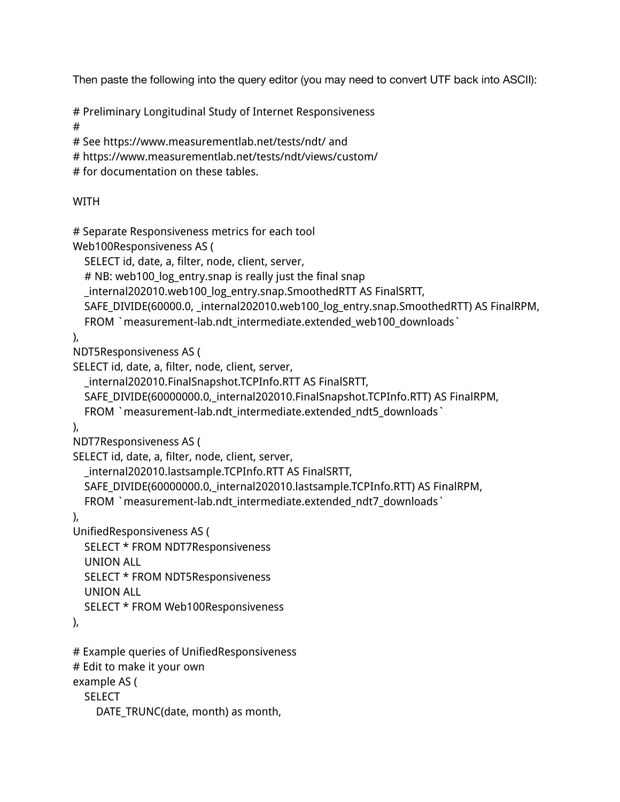Then paste the following into the query editor (you may need to convert UTF back into ASCII):

```
# Preliminary Longitudinal Study of Internet Responsiveness
```

```
#
```

```
# See https://www.measurementlab.net/tests/ndt/ and
```

```
# https://www.measurementlab.net/tests/ndt/views/custom/
```

```
# for documentation on these tables.
```
#### WITH

# Separate Responsiveness metrics for each tool

Web100Responsiveness AS (

```
SELECT id, date, a, filter, node, client, server,
```
# NB: web100\_log\_entry.snap is really just the final snap

```
_internal202010.web100_log_entry.snap.SmoothedRTT AS FinalSRTT,
```

```
SAFE_DIVIDE(60000.0, internal202010.web100_log_entry.snap.SmoothedRTT) AS FinalRPM,
```

```
FROM `measurement-lab.ndt_intermediate.extended_web100_downloads`
```

```
),
```

```
NDT5Responsiveness AS (
```

```
SELECT id, date, a, filter, node, client, server,
```

```
_internal202010.FinalSnapshot.TCPInfo.RTT AS FinalSRTT,
```

```
SAFE_DIVIDE(60000000.0,_internal202010.FinalSnapshot.TCPInfo.RTT) AS FinalRPM,
```

```
FROM `measurement-lab.ndt_intermediate.extended_ndt5_downloads`
```

```
),
```

```
NDT7Responsiveness AS (
```

```
SELECT id, date, a, filter, node, client, server,
```

```
_internal202010.lastsample.TCPInfo.RTT AS FinalSRTT,
```

```
SAFE_DIVIDE(60000000.0,_internal202010.lastsample.TCPInfo.RTT) AS FinalRPM,
```

```
FROM `measurement-lab.ndt_intermediate.extended_ndt7_downloads`
```
#### ),

```
UnifiedResponsiveness AS (
```

```
SELECT * FROM NDT7Responsiveness
```
UNION ALL

```
SELECT * FROM NDT5Responsiveness
```

```
UNION ALL
```

```
SELECT * FROM Web100Responsiveness
```
),

```
# Example queries of UnifiedResponsiveness
```

```
# Edit to make it your own
```

```
example AS (
```

```
SELECT
```

```
DATE_TRUNC(date, month) as month,
```